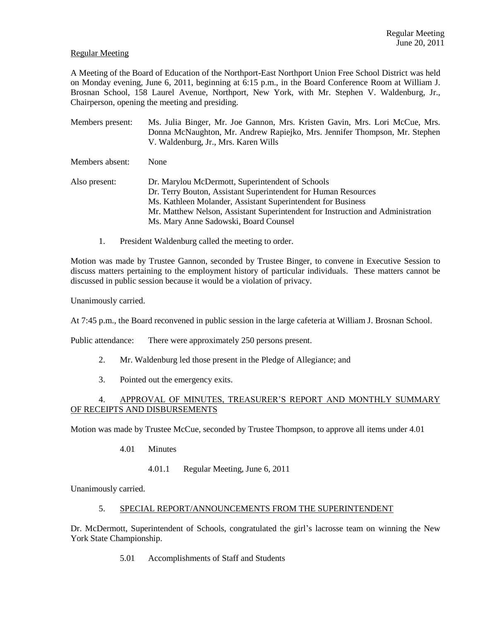# Regular Meeting

A Meeting of the Board of Education of the Northport-East Northport Union Free School District was held on Monday evening, June 6, 2011, beginning at 6:15 p.m., in the Board Conference Room at William J. Brosnan School, 158 Laurel Avenue, Northport, New York, with Mr. Stephen V. Waldenburg, Jr., Chairperson, opening the meeting and presiding.

- Members present: Ms. Julia Binger, Mr. Joe Gannon, Mrs. Kristen Gavin, Mrs. Lori McCue, Mrs. Donna McNaughton, Mr. Andrew Rapiejko, Mrs. Jennifer Thompson, Mr. Stephen V. Waldenburg, Jr., Mrs. Karen Wills Members absent: None
- Also present: Dr. Marylou McDermott, Superintendent of Schools Dr. Terry Bouton, Assistant Superintendent for Human Resources Ms. Kathleen Molander, Assistant Superintendent for Business Mr. Matthew Nelson, Assistant Superintendent for Instruction and Administration Ms. Mary Anne Sadowski, Board Counsel
	- 1. President Waldenburg called the meeting to order.

Motion was made by Trustee Gannon, seconded by Trustee Binger, to convene in Executive Session to discuss matters pertaining to the employment history of particular individuals. These matters cannot be discussed in public session because it would be a violation of privacy.

Unanimously carried.

At 7:45 p.m., the Board reconvened in public session in the large cafeteria at William J. Brosnan School.

Public attendance: There were approximately 250 persons present.

- 2. Mr. Waldenburg led those present in the Pledge of Allegiance; and
- 3. Pointed out the emergency exits.

# 4. APPROVAL OF MINUTES, TREASURER'S REPORT AND MONTHLY SUMMARY OF RECEIPTS AND DISBURSEMENTS

Motion was made by Trustee McCue, seconded by Trustee Thompson, to approve all items under 4.01

- 4.01 Minutes
	- 4.01.1 Regular Meeting, June 6, 2011

Unanimously carried.

# 5. SPECIAL REPORT/ANNOUNCEMENTS FROM THE SUPERINTENDENT

Dr. McDermott, Superintendent of Schools, congratulated the girl's lacrosse team on winning the New York State Championship.

5.01 Accomplishments of Staff and Students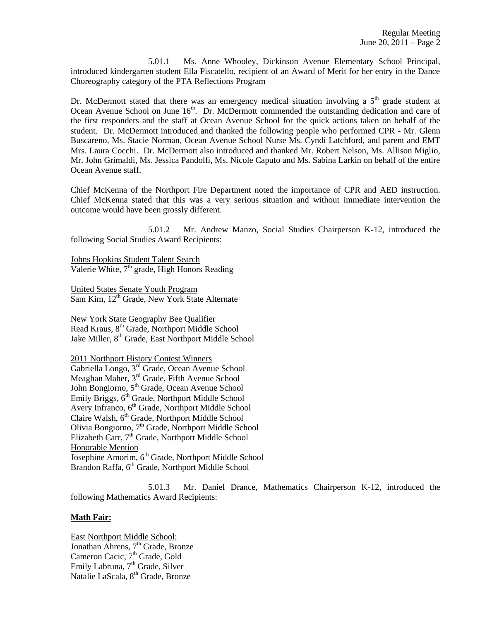5.01.1 Ms. Anne Whooley, Dickinson Avenue Elementary School Principal, introduced kindergarten student Ella Piscatello, recipient of an Award of Merit for her entry in the Dance Choreography category of the PTA Reflections Program

Dr. McDermott stated that there was an emergency medical situation involving a  $5<sup>th</sup>$  grade student at Ocean Avenue School on June 16<sup>th</sup>. Dr. McDermott commended the outstanding dedication and care of the first responders and the staff at Ocean Avenue School for the quick actions taken on behalf of the student. Dr. McDermott introduced and thanked the following people who performed CPR - Mr. Glenn Buscareno, Ms. Stacie Norman, Ocean Avenue School Nurse Ms. Cyndi Latchford, and parent and EMT Mrs. Laura Cocchi. Dr. McDermott also introduced and thanked Mr. Robert Nelson, Ms. Allison Miglio, Mr. John Grimaldi, Ms. Jessica Pandolfi, Ms. Nicole Caputo and Ms. Sabina Larkin on behalf of the entire Ocean Avenue staff.

Chief McKenna of the Northport Fire Department noted the importance of CPR and AED instruction. Chief McKenna stated that this was a very serious situation and without immediate intervention the outcome would have been grossly different.

5.01.2 Mr. Andrew Manzo, Social Studies Chairperson K-12, introduced the following Social Studies Award Recipients:

Johns Hopkins Student Talent Search Valerie White, 7<sup>th</sup> grade, High Honors Reading

United States Senate Youth Program Sam Kim, 12<sup>th</sup> Grade, New York State Alternate

New York State Geography Bee Qualifier Read Kraus, 8<sup>th</sup> Grade, Northport Middle School Jake Miller, 8<sup>th</sup> Grade, East Northport Middle School

2011 Northport History Contest Winners Gabriella Longo, 3rd Grade, Ocean Avenue School Meaghan Maher, 3rd Grade, Fifth Avenue School John Bongiorno, 5<sup>th</sup> Grade, Ocean Avenue School Emily Briggs, 6<sup>th</sup> Grade, Northport Middle School Avery Infranco, 6<sup>th</sup> Grade, Northport Middle School Claire Walsh, 6<sup>th</sup> Grade, Northport Middle School Olivia Bongiorno, 7<sup>th</sup> Grade, Northport Middle School Elizabeth Carr, 7<sup>th</sup> Grade, Northport Middle School Honorable Mention Josephine Amorim, 6<sup>th</sup> Grade, Northport Middle School Brandon Raffa, 6<sup>th</sup> Grade, Northport Middle School

5.01.3 Mr. Daniel Drance, Mathematics Chairperson K-12, introduced the following Mathematics Award Recipients:

# **Math Fair:**

East Northport Middle School: Jonathan Ahrens,  $7<sup>th</sup>$  Grade, Bronze Cameron Cacic, 7<sup>th</sup> Grade, Gold Emily Labruna, 7<sup>th</sup> Grade, Silver Natalie LaScala, 8<sup>th</sup> Grade, Bronze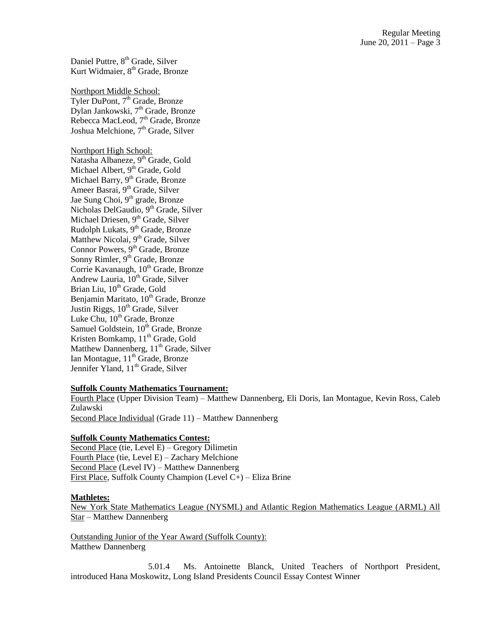Daniel Puttre, 8<sup>th</sup> Grade, Silver Kurt Widmaier, 8<sup>th</sup> Grade, Bronze

Northport Middle School: Tyler DuPont, 7<sup>th</sup> Grade, Bronze Dylan Jankowski, 7<sup>th</sup> Grade, Bronze Rebecca MacLeod, 7<sup>th</sup> Grade, Bronze Joshua Melchione,  $7<sup>th</sup>$  Grade, Silver

Northport High School: Natasha Albaneze, 9<sup>th</sup> Grade, Gold Michael Albert, 9<sup>th</sup> Grade, Gold Michael Barry, 9<sup>th</sup> Grade, Bronze Ameer Basrai, 9<sup>th</sup> Grade, Silver Jae Sung Choi, 9<sup>th</sup> grade, Bronze Nicholas DelGaudio, 9<sup>th</sup> Grade, Silver Michael Driesen, 9<sup>th</sup> Grade, Silver Rudolph Lukats,  $9<sup>th</sup>$  Grade, Bronze Matthew Nicolai, 9<sup>th</sup> Grade, Silver Connor Powers, 9<sup>th</sup> Grade, Bronze Sonny Rimler,  $9<sup>th</sup>$  Grade, Bronze Corrie Kavanaugh, 10<sup>th</sup> Grade, Bronze Andrew Lauria,  $10^{th}$  Grade, Silver Brian Liu, 10<sup>th</sup> Grade, Gold Benjamin Maritato, 10<sup>th</sup> Grade, Bronze Justin Riggs,  $10^{th}$  Grade, Silver Luke Chu,  $10^{th}$  Grade, Bronze Samuel Goldstein,  $10^{th}$  Grade, Bronze Kristen Bomkamp, 11<sup>th</sup> Grade, Gold Matthew Dannenberg,  $11<sup>th</sup>$  Grade, Silver Ian Montague,  $11<sup>th</sup>$  Grade, Bronze Jennifer Yland, 11<sup>th</sup> Grade, Silver

### **Suffolk County Mathematics Tournament:**

Fourth Place (Upper Division Team) – Matthew Dannenberg, Eli Doris, Ian Montague, Kevin Ross, Caleb Zulawski Second Place Individual (Grade 11) – Matthew Dannenberg

### **Suffolk County Mathematics Contest:**

Second Place (tie, Level E) – Gregory Dilimetin Fourth Place (tie, Level E) – Zachary Melchione Second Place (Level IV) – Matthew Dannenberg First Place, Suffolk County Champion (Level C+) – Eliza Brine

#### **Mathletes:**

New York State Mathematics League (NYSML) and Atlantic Region Mathematics League (ARML) All Star – Matthew Dannenberg

Outstanding Junior of the Year Award (Suffolk County): Matthew Dannenberg

5.01.4 Ms. Antoinette Blanck, United Teachers of Northport President, introduced Hana Moskowitz, Long Island Presidents Council Essay Contest Winner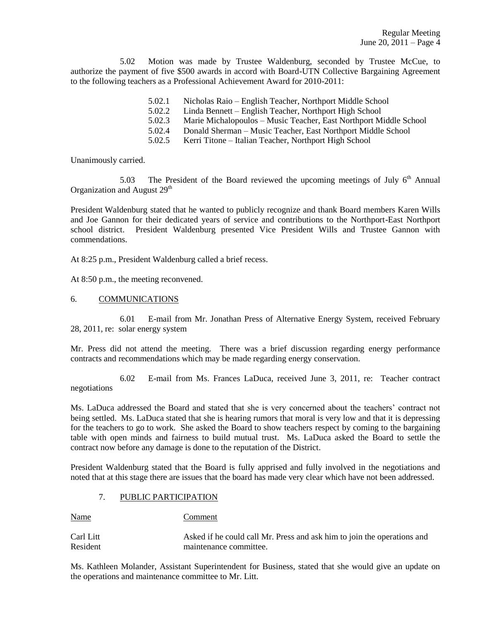5.02 Motion was made by Trustee Waldenburg, seconded by Trustee McCue, to authorize the payment of five \$500 awards in accord with Board-UTN Collective Bargaining Agreement to the following teachers as a Professional Achievement Award for 2010-2011:

- 5.02.1 Nicholas Raio English Teacher, Northport Middle School
- 5.02.2 Linda Bennett English Teacher, Northport High School
- 5.02.3 Marie Michalopoulos Music Teacher, East Northport Middle School
- 5.02.4 Donald Sherman Music Teacher, East Northport Middle School
- 5.02.5 Kerri Titone Italian Teacher, Northport High School

Unanimously carried.

5.03 The President of the Board reviewed the upcoming meetings of July  $6<sup>th</sup>$  Annual Organization and August 29<sup>th</sup>

President Waldenburg stated that he wanted to publicly recognize and thank Board members Karen Wills and Joe Gannon for their dedicated years of service and contributions to the Northport-East Northport school district. President Waldenburg presented Vice President Wills and Trustee Gannon with commendations.

At 8:25 p.m., President Waldenburg called a brief recess.

At 8:50 p.m., the meeting reconvened.

### 6. COMMUNICATIONS

6.01 E-mail from Mr. Jonathan Press of Alternative Energy System, received February 28, 2011, re: solar energy system

Mr. Press did not attend the meeting. There was a brief discussion regarding energy performance contracts and recommendations which may be made regarding energy conservation.

6.02 E-mail from Ms. Frances LaDuca, received June 3, 2011, re: Teacher contract negotiations

Ms. LaDuca addressed the Board and stated that she is very concerned about the teachers' contract not being settled. Ms. LaDuca stated that she is hearing rumors that moral is very low and that it is depressing for the teachers to go to work. She asked the Board to show teachers respect by coming to the bargaining table with open minds and fairness to build mutual trust. Ms. LaDuca asked the Board to settle the contract now before any damage is done to the reputation of the District.

President Waldenburg stated that the Board is fully apprised and fully involved in the negotiations and noted that at this stage there are issues that the board has made very clear which have not been addressed.

# 7. PUBLIC PARTICIPATION

Name Comment

| Carl Litt | Asked if he could call Mr. Press and ask him to join the operations and |
|-----------|-------------------------------------------------------------------------|
| Resident  | maintenance committee.                                                  |

Ms. Kathleen Molander, Assistant Superintendent for Business, stated that she would give an update on the operations and maintenance committee to Mr. Litt.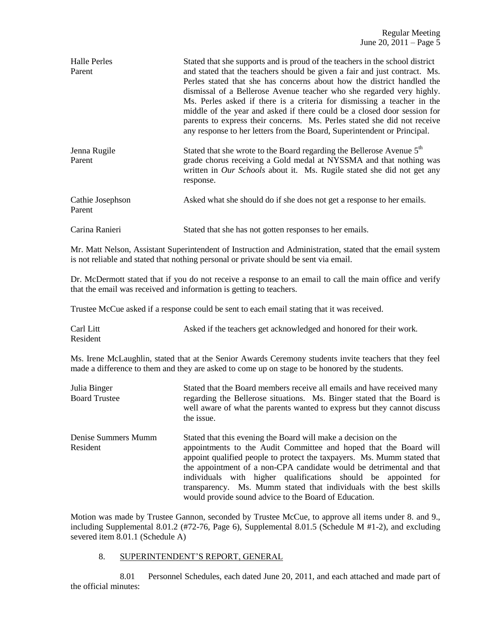| Halle Perles<br>Parent     | Stated that she supports and is proud of the teachers in the school district<br>and stated that the teachers should be given a fair and just contract. Ms.<br>Perles stated that she has concerns about how the district handled the<br>dismissal of a Bellerose Avenue teacher who she regarded very highly.<br>Ms. Perles asked if there is a criteria for dismissing a teacher in the<br>middle of the year and asked if there could be a closed door session for<br>parents to express their concerns. Ms. Perles stated she did not receive<br>any response to her letters from the Board, Superintendent or Principal. |
|----------------------------|------------------------------------------------------------------------------------------------------------------------------------------------------------------------------------------------------------------------------------------------------------------------------------------------------------------------------------------------------------------------------------------------------------------------------------------------------------------------------------------------------------------------------------------------------------------------------------------------------------------------------|
| Jenna Rugile<br>Parent     | Stated that she wrote to the Board regarding the Bellerose Avenue 5 <sup>th</sup><br>grade chorus receiving a Gold medal at NYSSMA and that nothing was<br>written in <i>Our Schools</i> about it. Ms. Rugile stated she did not get any<br>response.                                                                                                                                                                                                                                                                                                                                                                        |
| Cathie Josephson<br>Parent | Asked what she should do if she does not get a response to her emails.                                                                                                                                                                                                                                                                                                                                                                                                                                                                                                                                                       |
| Carina Ranieri             | Stated that she has not gotten responses to her emails.                                                                                                                                                                                                                                                                                                                                                                                                                                                                                                                                                                      |

Mr. Matt Nelson, Assistant Superintendent of Instruction and Administration, stated that the email system is not reliable and stated that nothing personal or private should be sent via email.

Dr. McDermott stated that if you do not receive a response to an email to call the main office and verify that the email was received and information is getting to teachers.

Trustee McCue asked if a response could be sent to each email stating that it was received.

Carl Litt Asked if the teachers get acknowledged and honored for their work. Resident

Ms. Irene McLaughlin, stated that at the Senior Awards Ceremony students invite teachers that they feel made a difference to them and they are asked to come up on stage to be honored by the students.

| Julia Binger<br><b>Board Trustee</b> | Stated that the Board members receive all emails and have received many<br>regarding the Bellerose situations. Ms. Binger stated that the Board is<br>well aware of what the parents wanted to express but they cannot discuss<br>the issue.                                                                                                                                                                                                                                             |  |
|--------------------------------------|------------------------------------------------------------------------------------------------------------------------------------------------------------------------------------------------------------------------------------------------------------------------------------------------------------------------------------------------------------------------------------------------------------------------------------------------------------------------------------------|--|
| Denise Summers Mumm<br>Resident      | Stated that this evening the Board will make a decision on the<br>appointments to the Audit Committee and hoped that the Board will<br>appoint qualified people to protect the taxpayers. Ms. Mumm stated that<br>the appointment of a non-CPA candidate would be detrimental and that<br>individuals with higher qualifications should be appointed for<br>transparency. Ms. Mumm stated that individuals with the best skills<br>would provide sound advice to the Board of Education. |  |

Motion was made by Trustee Gannon, seconded by Trustee McCue, to approve all items under 8. and 9., including Supplemental 8.01.2 (#72-76, Page 6), Supplemental 8.01.5 (Schedule M #1-2), and excluding severed item 8.01.1 (Schedule A)

## 8. SUPERINTENDENT'S REPORT, GENERAL

8.01 Personnel Schedules, each dated June 20, 2011, and each attached and made part of the official minutes: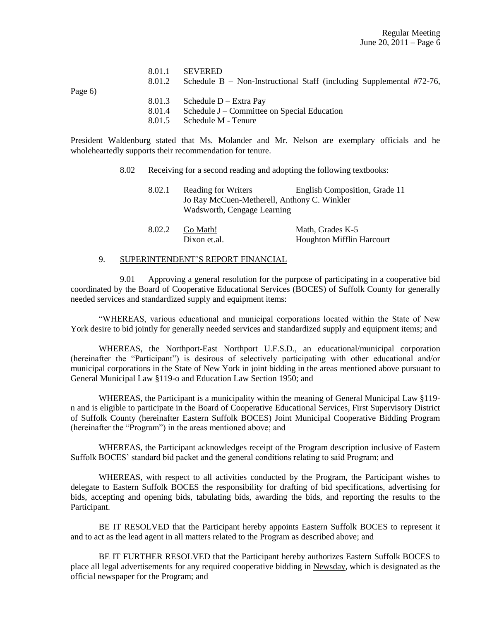|           | 8.01.1 | <b>SEVERED</b>                                                          |
|-----------|--------|-------------------------------------------------------------------------|
|           | 8.01.2 | Schedule B – Non-Instructional Staff (including Supplemental $#72-76$ , |
| Page $6)$ |        |                                                                         |
|           | 8.01.3 | Schedule $D$ – Extra Pay                                                |
|           | 8.01.4 | Schedule J – Committee on Special Education                             |
|           | 8.01.5 | Schedule M - Tenure                                                     |

President Waldenburg stated that Ms. Molander and Mr. Nelson are exemplary officials and he wholeheartedly supports their recommendation for tenure.

8.02 Receiving for a second reading and adopting the following textbooks:

| 8.02.1 | <b>Reading for Writers</b>                  | English Composition, Grade 11 |
|--------|---------------------------------------------|-------------------------------|
|        | Jo Ray McCuen-Metherell, Anthony C. Winkler |                               |
|        | Wadsworth, Cengage Learning                 |                               |
|        |                                             |                               |

| 8.02.2 | Go Math!     | Math, Grades K-5                 |
|--------|--------------|----------------------------------|
|        | Dixon et.al. | <b>Houghton Mifflin Harcourt</b> |

# 9. SUPERINTENDENT'S REPORT FINANCIAL

9.01 Approving a general resolution for the purpose of participating in a cooperative bid coordinated by the Board of Cooperative Educational Services (BOCES) of Suffolk County for generally needed services and standardized supply and equipment items:

"WHEREAS, various educational and municipal corporations located within the State of New York desire to bid jointly for generally needed services and standardized supply and equipment items; and

WHEREAS, the Northport-East Northport U.F.S.D., an educational/municipal corporation (hereinafter the "Participant") is desirous of selectively participating with other educational and/or municipal corporations in the State of New York in joint bidding in the areas mentioned above pursuant to General Municipal Law §119-o and Education Law Section 1950; and

WHEREAS, the Participant is a municipality within the meaning of General Municipal Law §119 n and is eligible to participate in the Board of Cooperative Educational Services, First Supervisory District of Suffolk County (hereinafter Eastern Suffolk BOCES) Joint Municipal Cooperative Bidding Program (hereinafter the "Program") in the areas mentioned above; and

WHEREAS, the Participant acknowledges receipt of the Program description inclusive of Eastern Suffolk BOCES' standard bid packet and the general conditions relating to said Program; and

WHEREAS, with respect to all activities conducted by the Program, the Participant wishes to delegate to Eastern Suffolk BOCES the responsibility for drafting of bid specifications, advertising for bids, accepting and opening bids, tabulating bids, awarding the bids, and reporting the results to the Participant.

BE IT RESOLVED that the Participant hereby appoints Eastern Suffolk BOCES to represent it and to act as the lead agent in all matters related to the Program as described above; and

BE IT FURTHER RESOLVED that the Participant hereby authorizes Eastern Suffolk BOCES to place all legal advertisements for any required cooperative bidding in Newsday, which is designated as the official newspaper for the Program; and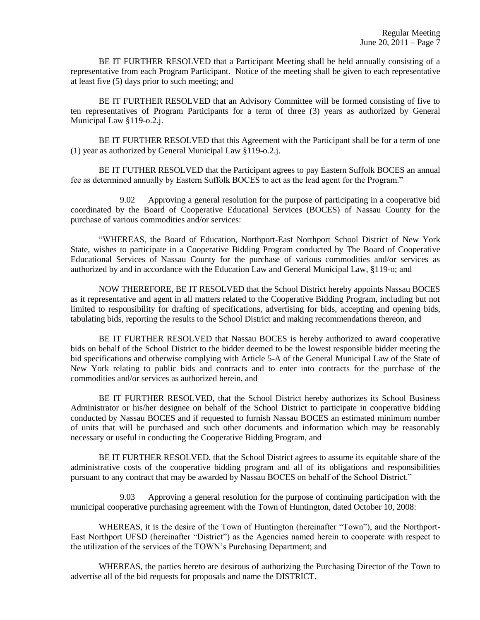BE IT FURTHER RESOLVED that a Participant Meeting shall be held annually consisting of a representative from each Program Participant. Notice of the meeting shall be given to each representative at least five (5) days prior to such meeting; and

BE IT FURTHER RESOLVED that an Advisory Committee will be formed consisting of five to ten representatives of Program Participants for a term of three (3) years as authorized by General Municipal Law §119-o.2.j.

BE IT FURTHER RESOLVED that this Agreement with the Participant shall be for a term of one (1) year as authorized by General Municipal Law §119-o.2.j.

BE IT FUTHER RESOLVED that the Participant agrees to pay Eastern Suffolk BOCES an annual fee as determined annually by Eastern Suffolk BOCES to act as the lead agent for the Program."

9.02 Approving a general resolution for the purpose of participating in a cooperative bid coordinated by the Board of Cooperative Educational Services (BOCES) of Nassau County for the purchase of various commodities and/or services:

"WHEREAS, the Board of Education, Northport-East Northport School District of New York State, wishes to participate in a Cooperative Bidding Program conducted by The Board of Cooperative Educational Services of Nassau County for the purchase of various commodities and/or services as authorized by and in accordance with the Education Law and General Municipal Law, §119-o; and

NOW THEREFORE, BE IT RESOLVED that the School District hereby appoints Nassau BOCES as it representative and agent in all matters related to the Cooperative Bidding Program, including but not limited to responsibility for drafting of specifications, advertising for bids, accepting and opening bids, tabulating bids, reporting the results to the School District and making recommendations thereon, and

BE IT FURTHER RESOLVED that Nassau BOCES is hereby authorized to award cooperative bids on behalf of the School District to the bidder deemed to be the lowest responsible bidder meeting the bid specifications and otherwise complying with Article 5-A of the General Municipal Law of the State of New York relating to public bids and contracts and to enter into contracts for the purchase of the commodities and/or services as authorized herein, and

BE IT FURTHER RESOLVED, that the School District hereby authorizes its School Business Administrator or his/her designee on behalf of the School District to participate in cooperative bidding conducted by Nassau BOCES and if requested to furnish Nassau BOCES an estimated minimum number of units that will be purchased and such other documents and information which may be reasonably necessary or useful in conducting the Cooperative Bidding Program, and

BE IT FURTHER RESOLVED, that the School District agrees to assume its equitable share of the administrative costs of the cooperative bidding program and all of its obligations and responsibilities pursuant to any contract that may be awarded by Nassau BOCES on behalf of the School District."

9.03 Approving a general resolution for the purpose of continuing participation with the municipal cooperative purchasing agreement with the Town of Huntington, dated October 10, 2008:

WHEREAS, it is the desire of the Town of Huntington (hereinafter "Town"), and the Northport-East Northport UFSD (hereinafter "District") as the Agencies named herein to cooperate with respect to the utilization of the services of the TOWN's Purchasing Department; and

WHEREAS, the parties hereto are desirous of authorizing the Purchasing Director of the Town to advertise all of the bid requests for proposals and name the DISTRICT.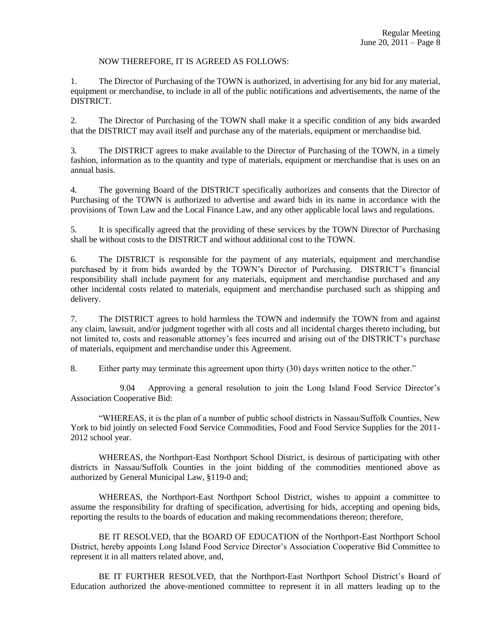# NOW THEREFORE, IT IS AGREED AS FOLLOWS:

1. The Director of Purchasing of the TOWN is authorized, in advertising for any bid for any material, equipment or merchandise, to include in all of the public notifications and advertisements, the name of the DISTRICT.

2. The Director of Purchasing of the TOWN shall make it a specific condition of any bids awarded that the DISTRICT may avail itself and purchase any of the materials, equipment or merchandise bid.

3. The DISTRICT agrees to make available to the Director of Purchasing of the TOWN, in a timely fashion, information as to the quantity and type of materials, equipment or merchandise that is uses on an annual basis.

4. The governing Board of the DISTRICT specifically authorizes and consents that the Director of Purchasing of the TOWN is authorized to advertise and award bids in its name in accordance with the provisions of Town Law and the Local Finance Law, and any other applicable local laws and regulations.

5. It is specifically agreed that the providing of these services by the TOWN Director of Purchasing shall be without costs to the DISTRICT and without additional cost to the TOWN.

6. The DISTRICT is responsible for the payment of any materials, equipment and merchandise purchased by it from bids awarded by the TOWN's Director of Purchasing. DISTRICT's financial responsibility shall include payment for any materials, equipment and merchandise purchased and any other incidental costs related to materials, equipment and merchandise purchased such as shipping and delivery.

7. The DISTRICT agrees to hold harmless the TOWN and indemnify the TOWN from and against any claim, lawsuit, and/or judgment together with all costs and all incidental charges thereto including, but not limited to, costs and reasonable attorney's fees incurred and arising out of the DISTRICT's purchase of materials, equipment and merchandise under this Agreement.

8. Either party may terminate this agreement upon thirty (30) days written notice to the other."

9.04 Approving a general resolution to join the Long Island Food Service Director's Association Cooperative Bid:

"WHEREAS, it is the plan of a number of public school districts in Nassau/Suffolk Counties, New York to bid jointly on selected Food Service Commodities, Food and Food Service Supplies for the 2011- 2012 school year.

WHEREAS, the Northport-East Northport School District, is desirous of participating with other districts in Nassau/Suffolk Counties in the joint bidding of the commodities mentioned above as authorized by General Municipal Law, §119-0 and;

WHEREAS, the Northport-East Northport School District, wishes to appoint a committee to assume the responsibility for drafting of specification, advertising for bids, accepting and opening bids, reporting the results to the boards of education and making recommendations thereon; therefore,

BE IT RESOLVED, that the BOARD OF EDUCATION of the Northport-East Northport School District, hereby appoints Long Island Food Service Director's Association Cooperative Bid Committee to represent it in all matters related above, and,

BE IT FURTHER RESOLVED, that the Northport-East Northport School District's Board of Education authorized the above-mentioned committee to represent it in all matters leading up to the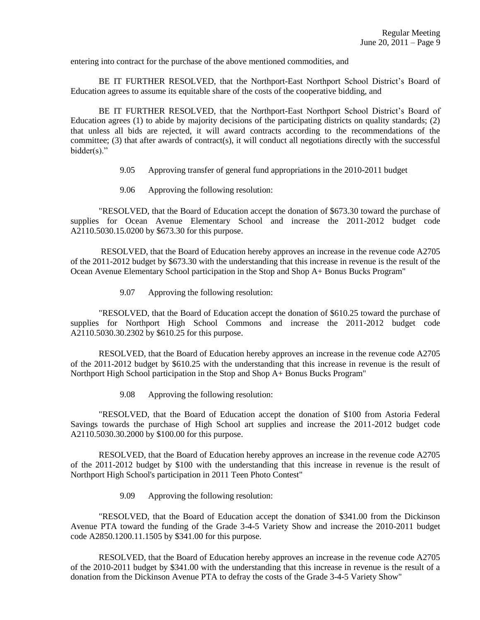entering into contract for the purchase of the above mentioned commodities, and

BE IT FURTHER RESOLVED, that the Northport-East Northport School District's Board of Education agrees to assume its equitable share of the costs of the cooperative bidding, and

BE IT FURTHER RESOLVED, that the Northport-East Northport School District's Board of Education agrees (1) to abide by majority decisions of the participating districts on quality standards; (2) that unless all bids are rejected, it will award contracts according to the recommendations of the committee; (3) that after awards of contract(s), it will conduct all negotiations directly with the successful bidder(s)."

- 9.05 Approving transfer of general fund appropriations in the 2010-2011 budget
- 9.06 Approving the following resolution:

"RESOLVED, that the Board of Education accept the donation of \$673.30 toward the purchase of supplies for Ocean Avenue Elementary School and increase the 2011-2012 budget code A2110.5030.15.0200 by \$673.30 for this purpose.

RESOLVED, that the Board of Education hereby approves an increase in the revenue code A2705 of the 2011-2012 budget by \$673.30 with the understanding that this increase in revenue is the result of the Ocean Avenue Elementary School participation in the Stop and Shop A+ Bonus Bucks Program"

9.07 Approving the following resolution:

"RESOLVED, that the Board of Education accept the donation of \$610.25 toward the purchase of supplies for Northport High School Commons and increase the 2011-2012 budget code A2110.5030.30.2302 by \$610.25 for this purpose.

RESOLVED, that the Board of Education hereby approves an increase in the revenue code A2705 of the 2011-2012 budget by \$610.25 with the understanding that this increase in revenue is the result of Northport High School participation in the Stop and Shop A+ Bonus Bucks Program"

9.08 Approving the following resolution:

"RESOLVED, that the Board of Education accept the donation of \$100 from Astoria Federal Savings towards the purchase of High School art supplies and increase the 2011-2012 budget code A2110.5030.30.2000 by \$100.00 for this purpose.

RESOLVED, that the Board of Education hereby approves an increase in the revenue code A2705 of the 2011-2012 budget by \$100 with the understanding that this increase in revenue is the result of Northport High School's participation in 2011 Teen Photo Contest"

9.09 Approving the following resolution:

"RESOLVED, that the Board of Education accept the donation of \$341.00 from the Dickinson Avenue PTA toward the funding of the Grade 3-4-5 Variety Show and increase the 2010-2011 budget code A2850.1200.11.1505 by \$341.00 for this purpose.

RESOLVED, that the Board of Education hereby approves an increase in the revenue code A2705 of the 2010-2011 budget by \$341.00 with the understanding that this increase in revenue is the result of a donation from the Dickinson Avenue PTA to defray the costs of the Grade 3-4-5 Variety Show"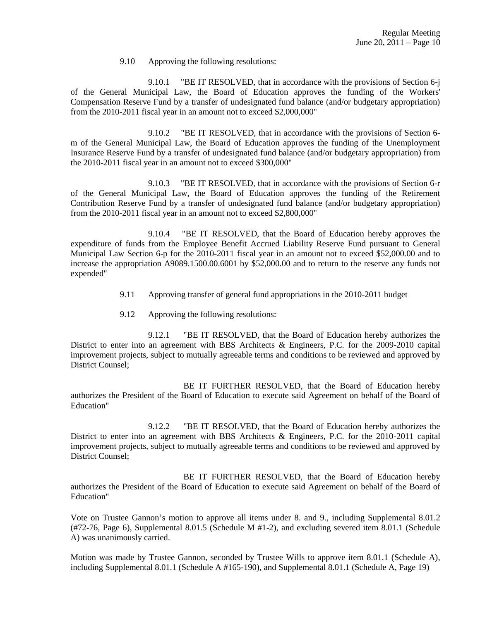### 9.10 Approving the following resolutions:

9.10.1 "BE IT RESOLVED, that in accordance with the provisions of Section 6-j of the General Municipal Law, the Board of Education approves the funding of the Workers' Compensation Reserve Fund by a transfer of undesignated fund balance (and/or budgetary appropriation) from the 2010-2011 fiscal year in an amount not to exceed \$2,000,000"

9.10.2 "BE IT RESOLVED, that in accordance with the provisions of Section 6 m of the General Municipal Law, the Board of Education approves the funding of the Unemployment Insurance Reserve Fund by a transfer of undesignated fund balance (and/or budgetary appropriation) from the 2010-2011 fiscal year in an amount not to exceed \$300,000"

9.10.3 "BE IT RESOLVED, that in accordance with the provisions of Section 6-r of the General Municipal Law, the Board of Education approves the funding of the Retirement Contribution Reserve Fund by a transfer of undesignated fund balance (and/or budgetary appropriation) from the 2010-2011 fiscal year in an amount not to exceed \$2,800,000"

9.10.4 "BE IT RESOLVED, that the Board of Education hereby approves the expenditure of funds from the Employee Benefit Accrued Liability Reserve Fund pursuant to General Municipal Law Section 6-p for the 2010-2011 fiscal year in an amount not to exceed \$52,000.00 and to increase the appropriation A9089.1500.00.6001 by \$52,000.00 and to return to the reserve any funds not expended"

- 9.11 Approving transfer of general fund appropriations in the 2010-2011 budget
- 9.12 Approving the following resolutions:

9.12.1 "BE IT RESOLVED, that the Board of Education hereby authorizes the District to enter into an agreement with BBS Architects & Engineers, P.C. for the 2009-2010 capital improvement projects, subject to mutually agreeable terms and conditions to be reviewed and approved by District Counsel;

BE IT FURTHER RESOLVED, that the Board of Education hereby authorizes the President of the Board of Education to execute said Agreement on behalf of the Board of Education"

9.12.2 "BE IT RESOLVED, that the Board of Education hereby authorizes the District to enter into an agreement with BBS Architects & Engineers, P.C. for the 2010-2011 capital improvement projects, subject to mutually agreeable terms and conditions to be reviewed and approved by District Counsel;

BE IT FURTHER RESOLVED, that the Board of Education hereby authorizes the President of the Board of Education to execute said Agreement on behalf of the Board of Education"

Vote on Trustee Gannon's motion to approve all items under 8. and 9., including Supplemental 8.01.2 (#72-76, Page 6), Supplemental 8.01.5 (Schedule M #1-2), and excluding severed item 8.01.1 (Schedule A) was unanimously carried.

Motion was made by Trustee Gannon, seconded by Trustee Wills to approve item 8.01.1 (Schedule A), including Supplemental 8.01.1 (Schedule A #165-190), and Supplemental 8.01.1 (Schedule A, Page 19)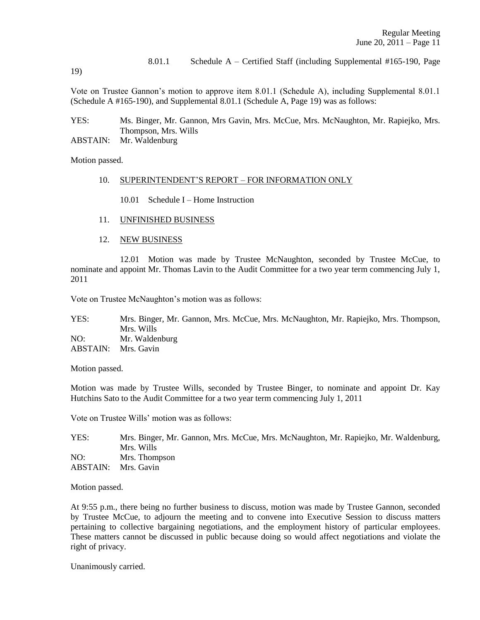8.01.1 Schedule A – Certified Staff (including Supplemental #165-190, Page

19)

Vote on Trustee Gannon's motion to approve item 8.01.1 (Schedule A), including Supplemental 8.01.1 (Schedule A #165-190), and Supplemental 8.01.1 (Schedule A, Page 19) was as follows:

YES: Ms. Binger, Mr. Gannon, Mrs Gavin, Mrs. McCue, Mrs. McNaughton, Mr. Rapiejko, Mrs. Thompson, Mrs. Wills

ABSTAIN: Mr. Waldenburg

Motion passed.

#### 10. SUPERINTENDENT'S REPORT – FOR INFORMATION ONLY

10.01 Schedule I – Home Instruction

- 11. UNFINISHED BUSINESS
- 12. NEW BUSINESS

12.01 Motion was made by Trustee McNaughton, seconded by Trustee McCue, to nominate and appoint Mr. Thomas Lavin to the Audit Committee for a two year term commencing July 1, 2011

Vote on Trustee McNaughton's motion was as follows:

YES: Mrs. Binger, Mr. Gannon, Mrs. McCue, Mrs. McNaughton, Mr. Rapiejko, Mrs. Thompson, Mrs. Wills NO: Mr. Waldenburg ABSTAIN: Mrs. Gavin

Motion passed.

Motion was made by Trustee Wills, seconded by Trustee Binger, to nominate and appoint Dr. Kay Hutchins Sato to the Audit Committee for a two year term commencing July 1, 2011

Vote on Trustee Wills' motion was as follows:

YES: Mrs. Binger, Mr. Gannon, Mrs. McCue, Mrs. McNaughton, Mr. Rapiejko, Mr. Waldenburg, Mrs. Wills NO: Mrs. Thompson ABSTAIN: Mrs. Gavin

Motion passed.

At 9:55 p.m., there being no further business to discuss, motion was made by Trustee Gannon, seconded by Trustee McCue, to adjourn the meeting and to convene into Executive Session to discuss matters pertaining to collective bargaining negotiations, and the employment history of particular employees. These matters cannot be discussed in public because doing so would affect negotiations and violate the right of privacy.

Unanimously carried.